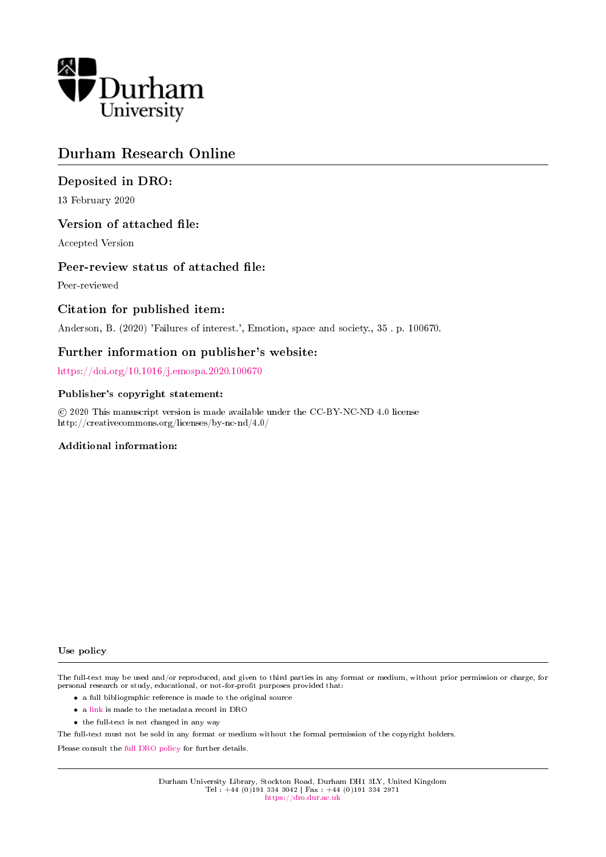

# Durham Research Online

# Deposited in DRO:

13 February 2020

# Version of attached file:

Accepted Version

### Peer-review status of attached file:

Peer-reviewed

### Citation for published item:

Anderson, B. (2020) 'Failures of interest.', Emotion, space and society., 35 . p. 100670.

### Further information on publisher's website:

<https://doi.org/10.1016/j.emospa.2020.100670>

#### Publisher's copyright statement:

 c 2020 This manuscript version is made available under the CC-BY-NC-ND 4.0 license http://creativecommons.org/licenses/by-nc-nd/4.0/

#### Additional information:

#### Use policy

The full-text may be used and/or reproduced, and given to third parties in any format or medium, without prior permission or charge, for personal research or study, educational, or not-for-profit purposes provided that:

- a full bibliographic reference is made to the original source
- a [link](http://dro.dur.ac.uk/30229/) is made to the metadata record in DRO
- the full-text is not changed in any way

The full-text must not be sold in any format or medium without the formal permission of the copyright holders.

Please consult the [full DRO policy](https://dro.dur.ac.uk/policies/usepolicy.pdf) for further details.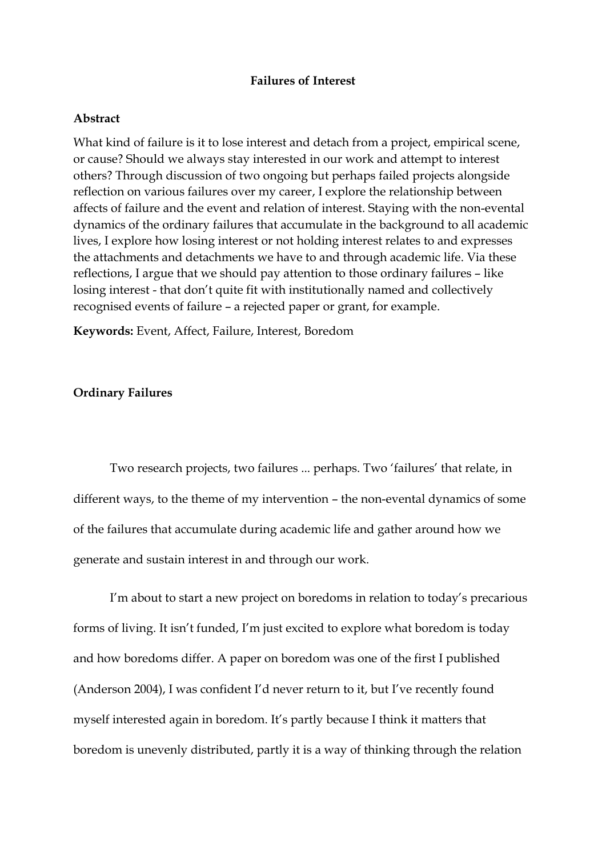### **Failures of Interest**

### **Abstract**

What kind of failure is it to lose interest and detach from a project, empirical scene, or cause? Should we always stay interested in our work and attempt to interest others? Through discussion of two ongoing but perhaps failed projects alongside reflection on various failures over my career, I explore the relationship between affects of failure and the event and relation of interest. Staying with the non-evental dynamics of the ordinary failures that accumulate in the background to all academic lives, I explore how losing interest or not holding interest relates to and expresses the attachments and detachments we have to and through academic life. Via these reflections, I argue that we should pay attention to those ordinary failures – like losing interest - that don't quite fit with institutionally named and collectively recognised events of failure – a rejected paper or grant, for example.

**Keywords:** Event, Affect, Failure, Interest, Boredom

# **Ordinary Failures**

Two research projects, two failures ... perhaps. Two 'failures' that relate, in different ways, to the theme of my intervention – the non-evental dynamics of some of the failures that accumulate during academic life and gather around how we generate and sustain interest in and through our work.

I'm about to start a new project on boredoms in relation to today's precarious forms of living. It isn't funded, I'm just excited to explore what boredom is today and how boredoms differ. A paper on boredom was one of the first I published (Anderson 2004), I was confident I'd never return to it, but I've recently found myself interested again in boredom. It's partly because I think it matters that boredom is unevenly distributed, partly it is a way of thinking through the relation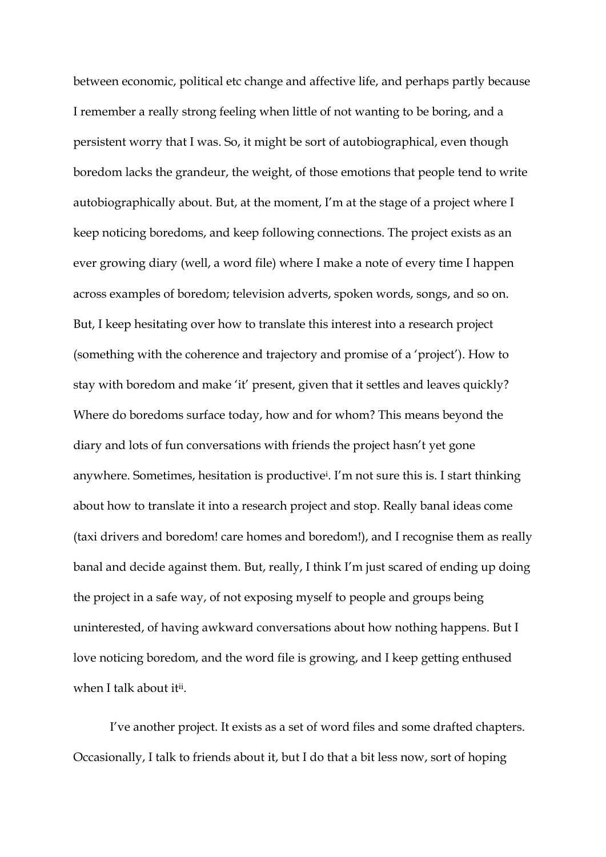between economic, political etc change and affective life, and perhaps partly because I remember a really strong feeling when little of not wanting to be boring, and a persistent worry that I was. So, it might be sort of autobiographical, even though boredom lacks the grandeur, the weight, of those emotions that people tend to write autobiographically about. But, at the moment, I'm at the stage of a project where I keep noticing boredoms, and keep following connections. The project exists as an ever growing diary (well, a word file) where I make a note of every time I happen across examples of boredom; television adverts, spoken words, songs, and so on. But, I keep hesitating over how to translate this interest into a research project (something with the coherence and trajectory and promise of a 'project'). How to stay with boredom and make 'it' present, given that it settles and leaves quickly? Where do boredoms surface today, how and for whom? This means beyond the diary and lots of fun conversations with friends the project hasn't yet gone anywhere. Sometimes, hesitation is productive<sup>*i*</sup>. I'm not sure this is. I start thinking about how to translate it into a research project and stop. Really banal ideas come (taxi drivers and boredom! care homes and boredom!), and I recognise them as really banal and decide against them. But, really, I think I'm just scared of ending up doing the project in a safe way, of not exposing myself to people and groups being uninterested, of having awkward conversations about how nothing happens. But I love noticing boredom, and the word file is growing, and I keep getting enthused when I talk about it<sup>ii</sup>.

I've another project. It exists as a set of word files and some drafted chapters. Occasionally, I talk to friends about it, but I do that a bit less now, sort of hoping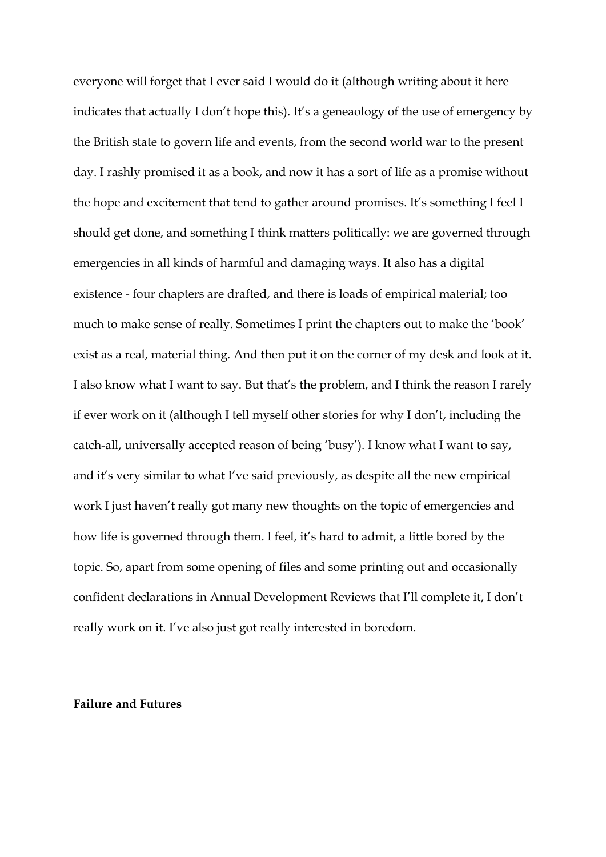everyone will forget that I ever said I would do it (although writing about it here indicates that actually I don't hope this). It's a geneaology of the use of emergency by the British state to govern life and events, from the second world war to the present day. I rashly promised it as a book, and now it has a sort of life as a promise without the hope and excitement that tend to gather around promises. It's something I feel I should get done, and something I think matters politically: we are governed through emergencies in all kinds of harmful and damaging ways. It also has a digital existence - four chapters are drafted, and there is loads of empirical material; too much to make sense of really. Sometimes I print the chapters out to make the 'book' exist as a real, material thing. And then put it on the corner of my desk and look at it. I also know what I want to say. But that's the problem, and I think the reason I rarely if ever work on it (although I tell myself other stories for why I don't, including the catch-all, universally accepted reason of being 'busy'). I know what I want to say, and it's very similar to what I've said previously, as despite all the new empirical work I just haven't really got many new thoughts on the topic of emergencies and how life is governed through them. I feel, it's hard to admit, a little bored by the topic. So, apart from some opening of files and some printing out and occasionally confident declarations in Annual Development Reviews that I'll complete it, I don't really work on it. I've also just got really interested in boredom.

# **Failure and Futures**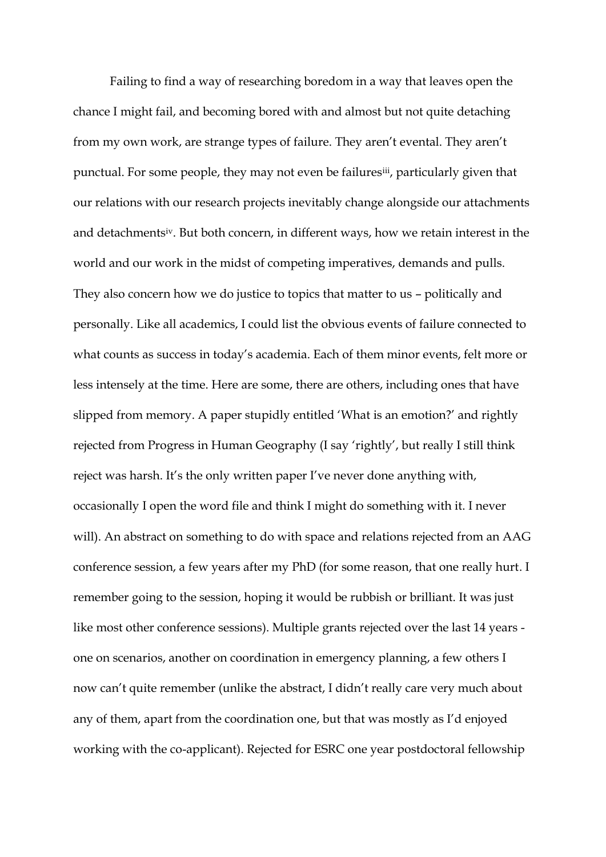Failing to find a way of researching boredom in a way that leaves open the chance I might fail, and becoming bored with and almost but not quite detaching from my own work, are strange types of failure. They aren't evental. They aren't punctual. For some people, they may not even be failures<sup>iii</sup>, particularly given that our relations with our research projects inevitably change alongside our attachments and detachmentsiv. But both concern, in different ways, how we retain interest in the world and our work in the midst of competing imperatives, demands and pulls. They also concern how we do justice to topics that matter to us – politically and personally. Like all academics, I could list the obvious events of failure connected to what counts as success in today's academia. Each of them minor events, felt more or less intensely at the time. Here are some, there are others, including ones that have slipped from memory. A paper stupidly entitled 'What is an emotion?' and rightly rejected from Progress in Human Geography (I say 'rightly', but really I still think reject was harsh. It's the only written paper I've never done anything with, occasionally I open the word file and think I might do something with it. I never will). An abstract on something to do with space and relations rejected from an AAG conference session, a few years after my PhD (for some reason, that one really hurt. I remember going to the session, hoping it would be rubbish or brilliant. It was just like most other conference sessions). Multiple grants rejected over the last 14 years one on scenarios, another on coordination in emergency planning, a few others I now can't quite remember (unlike the abstract, I didn't really care very much about any of them, apart from the coordination one, but that was mostly as I'd enjoyed working with the co-applicant). Rejected for ESRC one year postdoctoral fellowship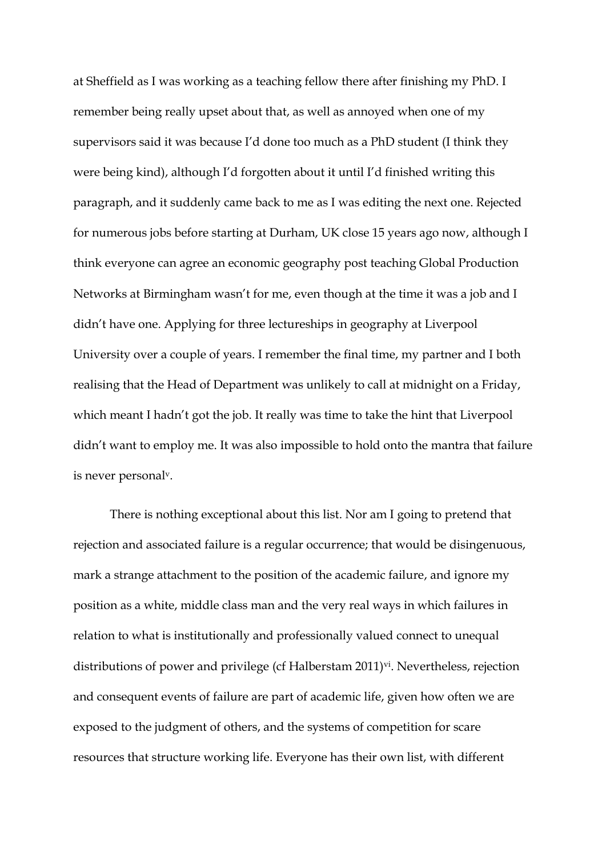at Sheffield as I was working as a teaching fellow there after finishing my PhD. I remember being really upset about that, as well as annoyed when one of my supervisors said it was because I'd done too much as a PhD student (I think they were being kind), although I'd forgotten about it until I'd finished writing this paragraph, and it suddenly came back to me as I was editing the next one. Rejected for numerous jobs before starting at Durham, UK close 15 years ago now, although I think everyone can agree an economic geography post teaching Global Production Networks at Birmingham wasn't for me, even though at the time it was a job and I didn't have one. Applying for three lectureships in geography at Liverpool University over a couple of years. I remember the final time, my partner and I both realising that the Head of Department was unlikely to call at midnight on a Friday, which meant I hadn't got the job. It really was time to take the hint that Liverpool didn't want to employ me. It was also impossible to hold onto the mantra that failure is never personalv.

There is nothing exceptional about this list. Nor am I going to pretend that rejection and associated failure is a regular occurrence; that would be disingenuous, mark a strange attachment to the position of the academic failure, and ignore my position as a white, middle class man and the very real ways in which failures in relation to what is institutionally and professionally valued connect to unequal distributions of power and privilege (cf Halberstam 2011)<sup>vi</sup>. Nevertheless, rejection and consequent events of failure are part of academic life, given how often we are exposed to the judgment of others, and the systems of competition for scare resources that structure working life. Everyone has their own list, with different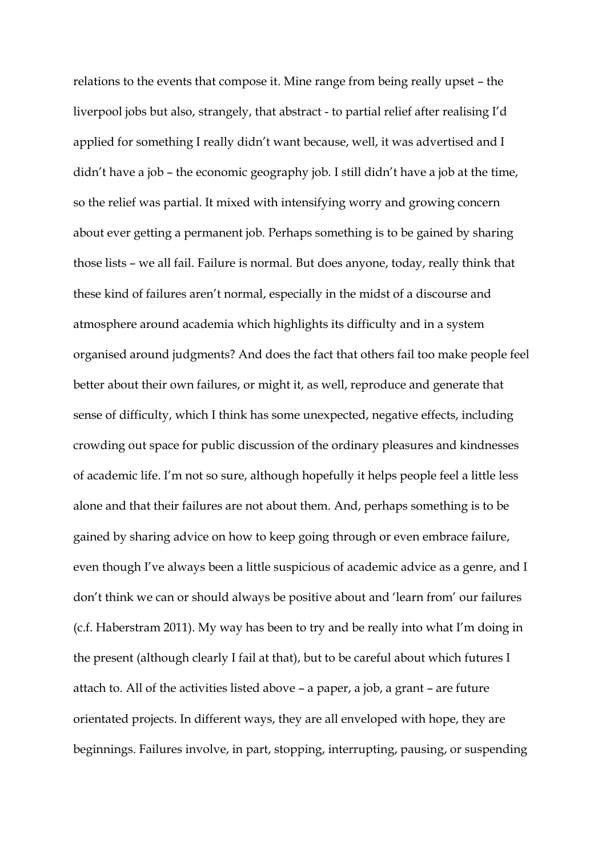relations to the events that compose it. Mine range from being really upset – the liverpool jobs but also, strangely, that abstract - to partial relief after realising I'd applied for something I really didn't want because, well, it was advertised and I didn't have a job – the economic geography job. I still didn't have a job at the time, so the relief was partial. It mixed with intensifying worry and growing concern about ever getting a permanent job. Perhaps something is to be gained by sharing those lists – we all fail. Failure is normal. But does anyone, today, really think that these kind of failures aren't normal, especially in the midst of a discourse and atmosphere around academia which highlights its difficulty and in a system organised around judgments? And does the fact that others fail too make people feel better about their own failures, or might it, as well, reproduce and generate that sense of difficulty, which I think has some unexpected, negative effects, including crowding out space for public discussion of the ordinary pleasures and kindnesses of academic life. I'm not so sure, although hopefully it helps people feel a little less alone and that their failures are not about them. And, perhaps something is to be gained by sharing advice on how to keep going through or even embrace failure, even though I've always been a little suspicious of academic advice as a genre, and I don't think we can or should always be positive about and 'learn from' our failures (c.f. Haberstram 2011). My way has been to try and be really into what I'm doing in the present (although clearly I fail at that), but to be careful about which futures I attach to. All of the activities listed above – a paper, a job, a grant – are future orientated projects. In different ways, they are all enveloped with hope, they are beginnings. Failures involve, in part, stopping, interrupting, pausing, or suspending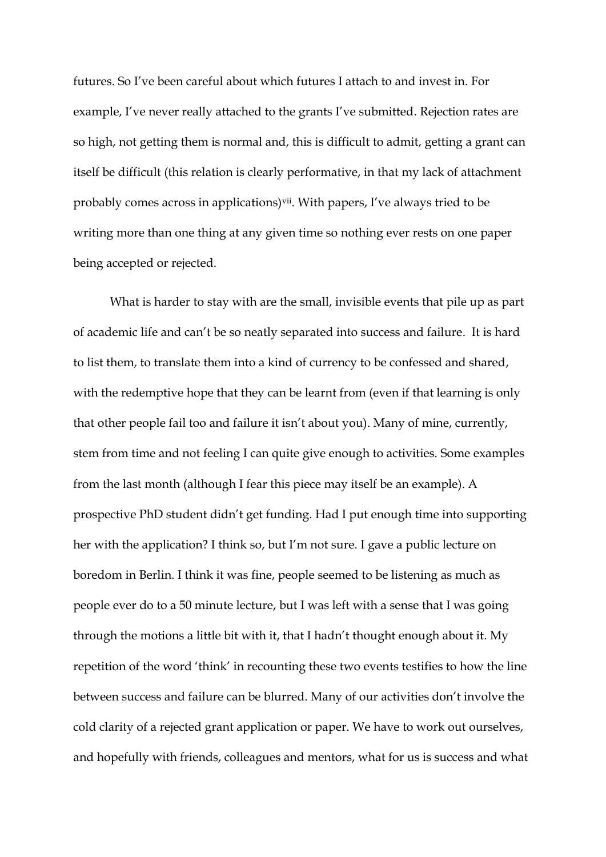futures. So I've been careful about which futures I attach to and invest in. For example, I've never really attached to the grants I've submitted. Rejection rates are so high, not getting them is normal and, this is difficult to admit, getting a grant can itself be difficult (this relation is clearly performative, in that my lack of attachment probably comes across in applications)<sup>vii</sup>. With papers, I've always tried to be writing more than one thing at any given time so nothing ever rests on one paper being accepted or rejected.

What is harder to stay with are the small, invisible events that pile up as part of academic life and can't be so neatly separated into success and failure. It is hard to list them, to translate them into a kind of currency to be confessed and shared, with the redemptive hope that they can be learnt from (even if that learning is only that other people fail too and failure it isn't about you). Many of mine, currently, stem from time and not feeling I can quite give enough to activities. Some examples from the last month (although I fear this piece may itself be an example). A prospective PhD student didn't get funding. Had I put enough time into supporting her with the application? I think so, but I'm not sure. I gave a public lecture on boredom in Berlin. I think it was fine, people seemed to be listening as much as people ever do to a 50 minute lecture, but I was left with a sense that I was going through the motions a little bit with it, that I hadn't thought enough about it. My repetition of the word 'think' in recounting these two events testifies to how the line between success and failure can be blurred. Many of our activities don't involve the cold clarity of a rejected grant application or paper. We have to work out ourselves, and hopefully with friends, colleagues and mentors, what for us is success and what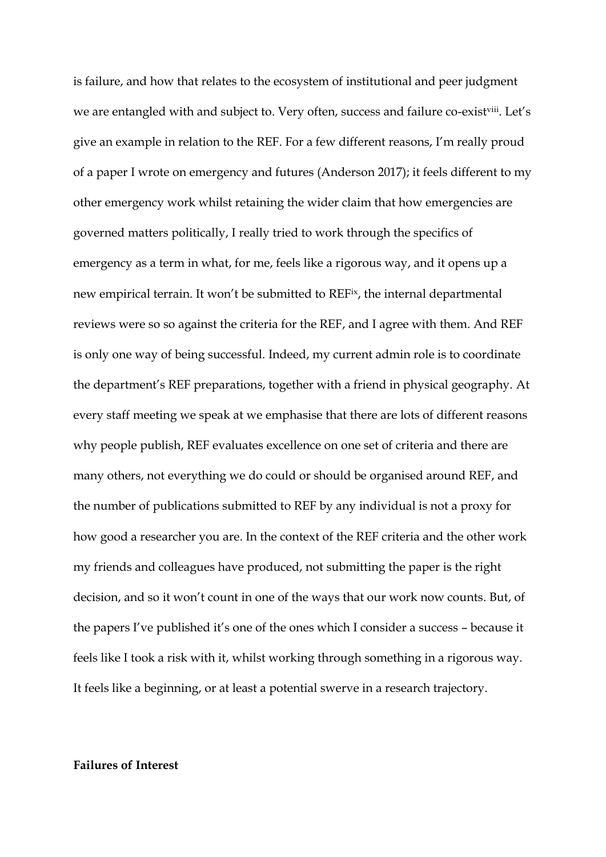is failure, and how that relates to the ecosystem of institutional and peer judgment we are entangled with and subject to. Very often, success and failure co-exist<sup>viii</sup>. Let's give an example in relation to the REF. For a few different reasons, I'm really proud of a paper I wrote on emergency and futures (Anderson 2017); it feels different to my other emergency work whilst retaining the wider claim that how emergencies are governed matters politically, I really tried to work through the specifics of emergency as a term in what, for me, feels like a rigorous way, and it opens up a new empirical terrain. It won't be submitted to REFix, the internal departmental reviews were so so against the criteria for the REF, and I agree with them. And REF is only one way of being successful. Indeed, my current admin role is to coordinate the department's REF preparations, together with a friend in physical geography. At every staff meeting we speak at we emphasise that there are lots of different reasons why people publish, REF evaluates excellence on one set of criteria and there are many others, not everything we do could or should be organised around REF, and the number of publications submitted to REF by any individual is not a proxy for how good a researcher you are. In the context of the REF criteria and the other work my friends and colleagues have produced, not submitting the paper is the right decision, and so it won't count in one of the ways that our work now counts. But, of the papers I've published it's one of the ones which I consider a success – because it feels like I took a risk with it, whilst working through something in a rigorous way. It feels like a beginning, or at least a potential swerve in a research trajectory.

# **Failures of Interest**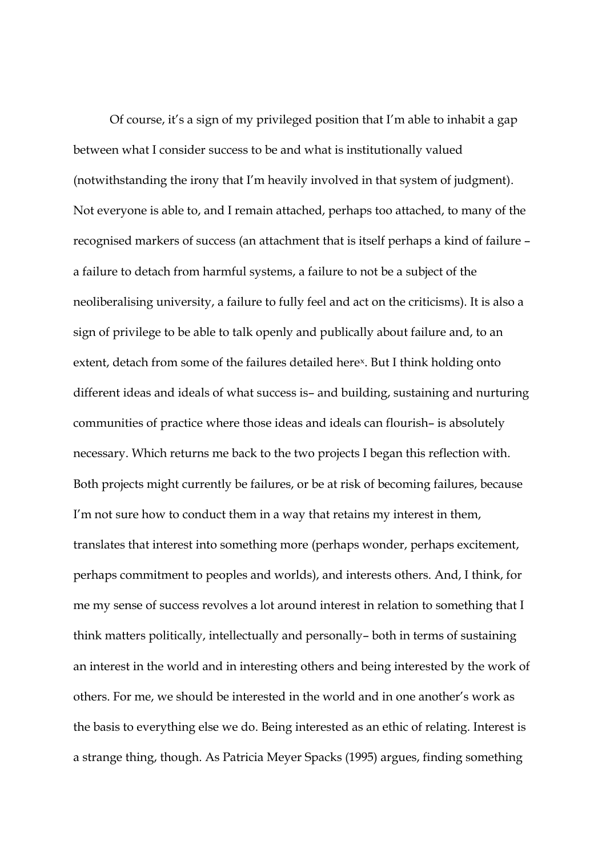Of course, it's a sign of my privileged position that I'm able to inhabit a gap between what I consider success to be and what is institutionally valued (notwithstanding the irony that I'm heavily involved in that system of judgment). Not everyone is able to, and I remain attached, perhaps too attached, to many of the recognised markers of success (an attachment that is itself perhaps a kind of failure – a failure to detach from harmful systems, a failure to not be a subject of the neoliberalising university, a failure to fully feel and act on the criticisms). It is also a sign of privilege to be able to talk openly and publically about failure and, to an extent, detach from some of the failures detailed here<sup>x</sup>. But I think holding onto different ideas and ideals of what success is– and building, sustaining and nurturing communities of practice where those ideas and ideals can flourish– is absolutely necessary. Which returns me back to the two projects I began this reflection with. Both projects might currently be failures, or be at risk of becoming failures, because I'm not sure how to conduct them in a way that retains my interest in them, translates that interest into something more (perhaps wonder, perhaps excitement, perhaps commitment to peoples and worlds), and interests others. And, I think, for me my sense of success revolves a lot around interest in relation to something that I think matters politically, intellectually and personally– both in terms of sustaining an interest in the world and in interesting others and being interested by the work of others. For me, we should be interested in the world and in one another's work as the basis to everything else we do. Being interested as an ethic of relating. Interest is a strange thing, though. As Patricia Meyer Spacks (1995) argues, finding something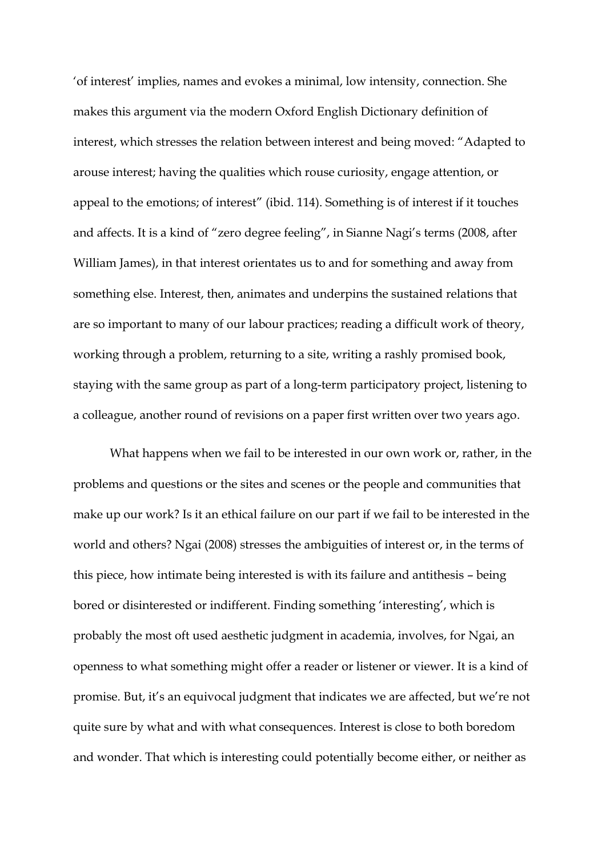'of interest' implies, names and evokes a minimal, low intensity, connection. She makes this argument via the modern Oxford English Dictionary definition of interest, which stresses the relation between interest and being moved: "Adapted to arouse interest; having the qualities which rouse curiosity, engage attention, or appeal to the emotions; of interest" (ibid. 114). Something is of interest if it touches and affects. It is a kind of "zero degree feeling", in Sianne Nagi's terms (2008, after William James), in that interest orientates us to and for something and away from something else. Interest, then, animates and underpins the sustained relations that are so important to many of our labour practices; reading a difficult work of theory, working through a problem, returning to a site, writing a rashly promised book, staying with the same group as part of a long-term participatory project, listening to a colleague, another round of revisions on a paper first written over two years ago.

What happens when we fail to be interested in our own work or, rather, in the problems and questions or the sites and scenes or the people and communities that make up our work? Is it an ethical failure on our part if we fail to be interested in the world and others? Ngai (2008) stresses the ambiguities of interest or, in the terms of this piece, how intimate being interested is with its failure and antithesis – being bored or disinterested or indifferent. Finding something 'interesting', which is probably the most oft used aesthetic judgment in academia, involves, for Ngai, an openness to what something might offer a reader or listener or viewer. It is a kind of promise. But, it's an equivocal judgment that indicates we are affected, but we're not quite sure by what and with what consequences. Interest is close to both boredom and wonder. That which is interesting could potentially become either, or neither as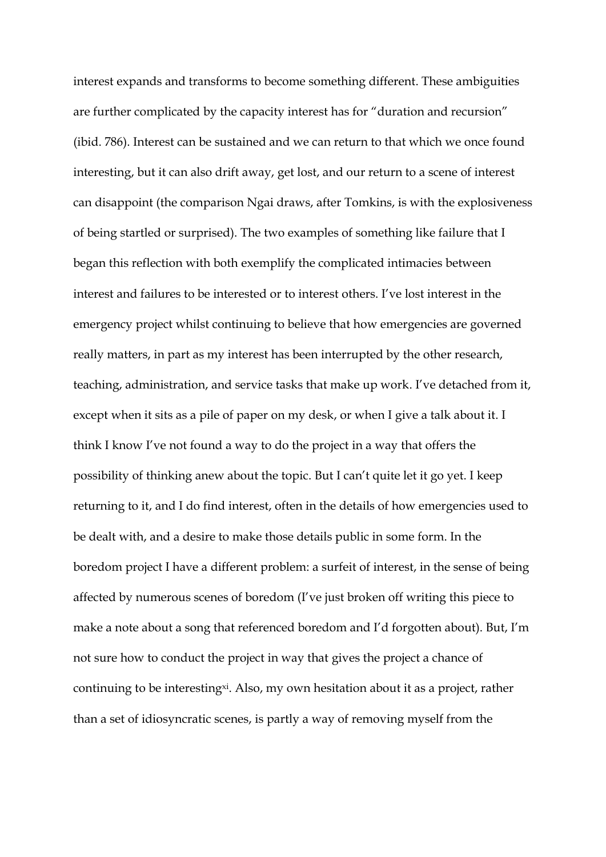interest expands and transforms to become something different. These ambiguities are further complicated by the capacity interest has for "duration and recursion" (ibid. 786). Interest can be sustained and we can return to that which we once found interesting, but it can also drift away, get lost, and our return to a scene of interest can disappoint (the comparison Ngai draws, after Tomkins, is with the explosiveness of being startled or surprised). The two examples of something like failure that I began this reflection with both exemplify the complicated intimacies between interest and failures to be interested or to interest others. I've lost interest in the emergency project whilst continuing to believe that how emergencies are governed really matters, in part as my interest has been interrupted by the other research, teaching, administration, and service tasks that make up work. I've detached from it, except when it sits as a pile of paper on my desk, or when I give a talk about it. I think I know I've not found a way to do the project in a way that offers the possibility of thinking anew about the topic. But I can't quite let it go yet. I keep returning to it, and I do find interest, often in the details of how emergencies used to be dealt with, and a desire to make those details public in some form. In the boredom project I have a different problem: a surfeit of interest, in the sense of being affected by numerous scenes of boredom (I've just broken off writing this piece to make a note about a song that referenced boredom and I'd forgotten about). But, I'm not sure how to conduct the project in way that gives the project a chance of continuing to be interesting<sup>xi</sup>. Also, my own hesitation about it as a project, rather than a set of idiosyncratic scenes, is partly a way of removing myself from the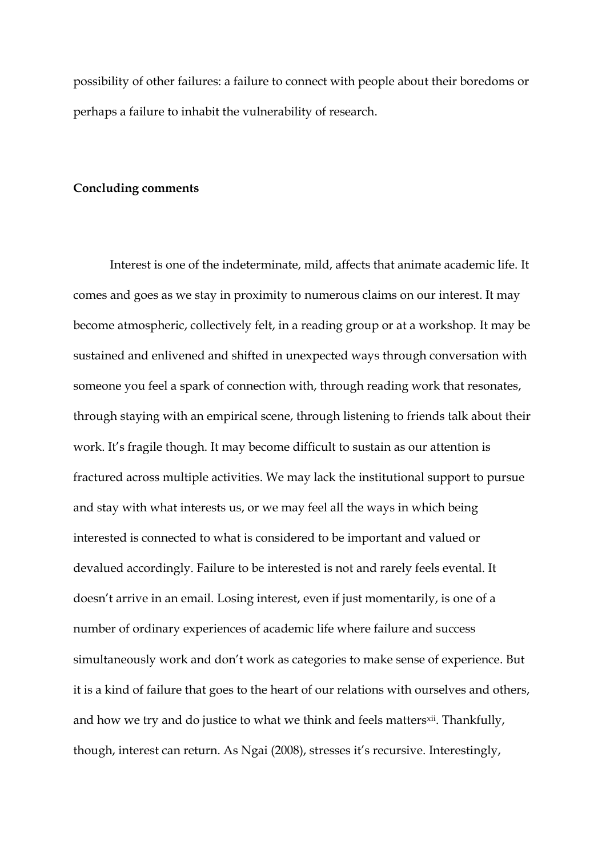possibility of other failures: a failure to connect with people about their boredoms or perhaps a failure to inhabit the vulnerability of research.

#### **Concluding comments**

Interest is one of the indeterminate, mild, affects that animate academic life. It comes and goes as we stay in proximity to numerous claims on our interest. It may become atmospheric, collectively felt, in a reading group or at a workshop. It may be sustained and enlivened and shifted in unexpected ways through conversation with someone you feel a spark of connection with, through reading work that resonates, through staying with an empirical scene, through listening to friends talk about their work. It's fragile though. It may become difficult to sustain as our attention is fractured across multiple activities. We may lack the institutional support to pursue and stay with what interests us, or we may feel all the ways in which being interested is connected to what is considered to be important and valued or devalued accordingly. Failure to be interested is not and rarely feels evental. It doesn't arrive in an email. Losing interest, even if just momentarily, is one of a number of ordinary experiences of academic life where failure and success simultaneously work and don't work as categories to make sense of experience. But it is a kind of failure that goes to the heart of our relations with ourselves and others, and how we try and do justice to what we think and feels matters<sup>xii</sup>. Thankfully, though, interest can return. As Ngai (2008), stresses it's recursive. Interestingly,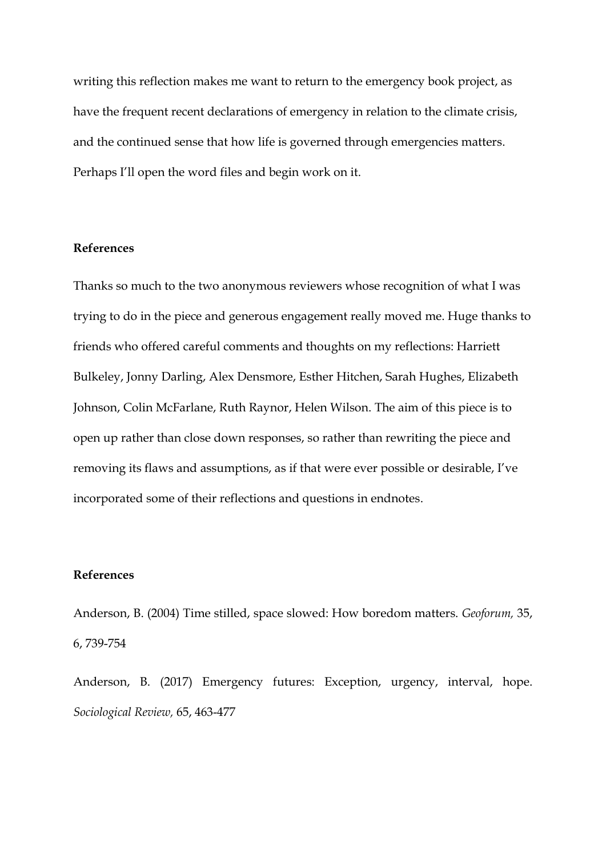writing this reflection makes me want to return to the emergency book project, as have the frequent recent declarations of emergency in relation to the climate crisis, and the continued sense that how life is governed through emergencies matters. Perhaps I'll open the word files and begin work on it.

# **References**

Thanks so much to the two anonymous reviewers whose recognition of what I was trying to do in the piece and generous engagement really moved me. Huge thanks to friends who offered careful comments and thoughts on my reflections: Harriett Bulkeley, Jonny Darling, Alex Densmore, Esther Hitchen, Sarah Hughes, Elizabeth Johnson, Colin McFarlane, Ruth Raynor, Helen Wilson. The aim of this piece is to open up rather than close down responses, so rather than rewriting the piece and removing its flaws and assumptions, as if that were ever possible or desirable, I've incorporated some of their reflections and questions in endnotes.

# **References**

Anderson, B. (2004) Time stilled, space slowed: How boredom matters. *Geoforum,* 35, 6, 739-754

Anderson, B. (2017) Emergency futures: Exception, urgency, interval, hope. *Sociological Review,* 65, 463-477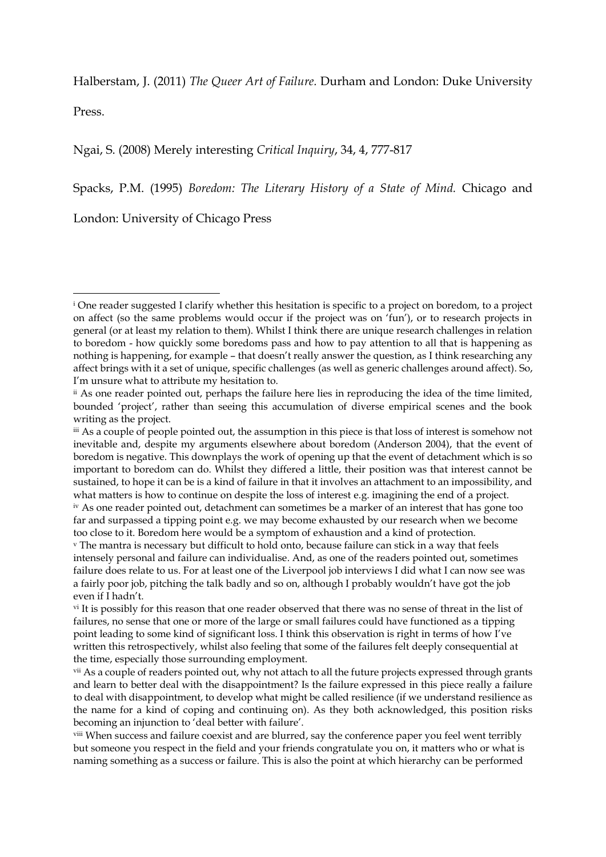Halberstam, J. (2011) *The Queer Art of Failure.* Durham and London: Duke University Press.

Ngai, S. (2008) Merely interesting *Critical Inquiry*, 34, 4, 777-817

Spacks, P.M. (1995) *Boredom: The Literary History of a State of Mind.* Chicago and

London: University of Chicago Press

1

<sup>i</sup> One reader suggested I clarify whether this hesitation is specific to a project on boredom, to a project on affect (so the same problems would occur if the project was on 'fun'), or to research projects in general (or at least my relation to them). Whilst I think there are unique research challenges in relation to boredom - how quickly some boredoms pass and how to pay attention to all that is happening as nothing is happening, for example – that doesn't really answer the question, as I think researching any affect brings with it a set of unique, specific challenges (as well as generic challenges around affect). So, I'm unsure what to attribute my hesitation to.

ii As one reader pointed out, perhaps the failure here lies in reproducing the idea of the time limited, bounded 'project', rather than seeing this accumulation of diverse empirical scenes and the book writing as the project.

iii As a couple of people pointed out, the assumption in this piece is that loss of interest is somehow not inevitable and, despite my arguments elsewhere about boredom (Anderson 2004), that the event of boredom is negative. This downplays the work of opening up that the event of detachment which is so important to boredom can do. Whilst they differed a little, their position was that interest cannot be sustained, to hope it can be is a kind of failure in that it involves an attachment to an impossibility, and what matters is how to continue on despite the loss of interest e.g. imagining the end of a project.

iv As one reader pointed out, detachment can sometimes be a marker of an interest that has gone too far and surpassed a tipping point e.g. we may become exhausted by our research when we become too close to it. Boredom here would be a symptom of exhaustion and a kind of protection.

<sup>v</sup> The mantra is necessary but difficult to hold onto, because failure can stick in a way that feels intensely personal and failure can individualise. And, as one of the readers pointed out, sometimes failure does relate to us. For at least one of the Liverpool job interviews I did what I can now see was a fairly poor job, pitching the talk badly and so on, although I probably wouldn't have got the job even if I hadn't.

vi It is possibly for this reason that one reader observed that there was no sense of threat in the list of failures, no sense that one or more of the large or small failures could have functioned as a tipping point leading to some kind of significant loss. I think this observation is right in terms of how I've written this retrospectively, whilst also feeling that some of the failures felt deeply consequential at the time, especially those surrounding employment.

vii As a couple of readers pointed out, why not attach to all the future projects expressed through grants and learn to better deal with the disappointment? Is the failure expressed in this piece really a failure to deal with disappointment, to develop what might be called resilience (if we understand resilience as the name for a kind of coping and continuing on). As they both acknowledged, this position risks becoming an injunction to 'deal better with failure'.

viii When success and failure coexist and are blurred, say the conference paper you feel went terribly but someone you respect in the field and your friends congratulate you on, it matters who or what is naming something as a success or failure. This is also the point at which hierarchy can be performed